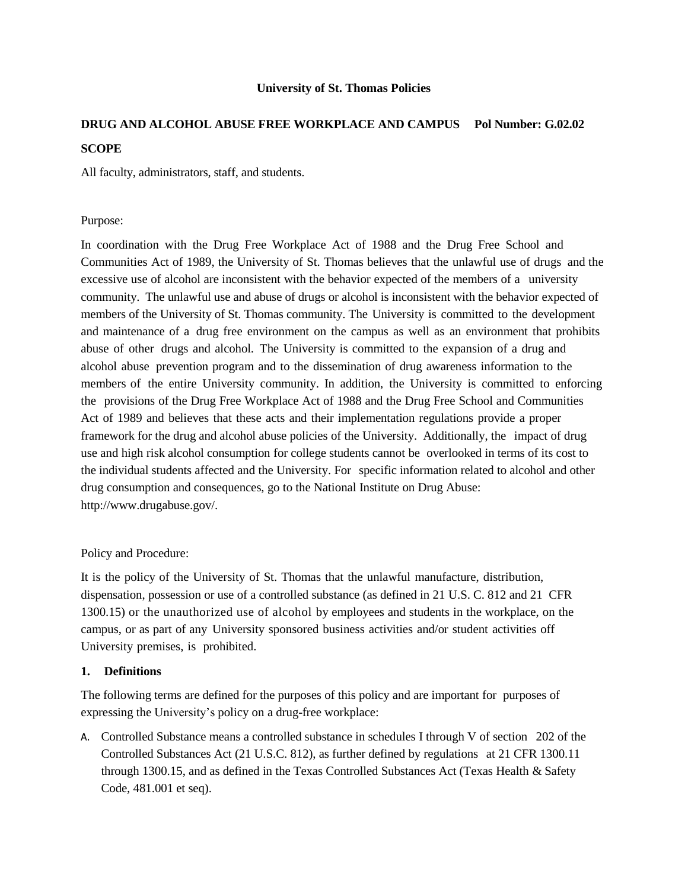#### **University of St. Thomas Policies**

# **DRUG AND ALCOHOL ABUSE FREE WORKPLACE AND CAMPUS Pol Number: G.02.02 SCOPE**

All faculty, administrators, staff, and students.

### Purpose:

In coordination with the Drug Free Workplace Act of 1988 and the Drug Free School and Communities Act of 1989, the University of St. Thomas believes that the unlawful use of drugs and the excessive use of alcohol are inconsistent with the behavior expected of the members of a university community. The unlawful use and abuse of drugs or alcohol is inconsistent with the behavior expected of members of the University of St. Thomas community. The University is committed to the development and maintenance of a drug free environment on the campus as well as an environment that prohibits abuse of other drugs and alcohol. The University is committed to the expansion of a drug and alcohol abuse prevention program and to the dissemination of drug awareness information to the members of the entire University community. In addition, the University is committed to enforcing the provisions of the Drug Free Workplace Act of 1988 and the Drug Free School and Communities Act of 1989 and believes that these acts and their implementation regulations provide a proper framework for the drug and alcohol abuse policies of the University. Additionally, the impact of drug use and high risk alcohol consumption for college students cannot be overlooked in terms of its cost to the individual students affected and the University. For specific information related to alcohol and other drug consumption and consequences, go to the National Institute on Drug Abuse: [http://www.drugabuse.gov/.](http://www.drugabuse.gov/)

### Policy and Procedure:

It is the policy of the University of St. Thomas that the unlawful manufacture, distribution, dispensation, possession or use of a controlled substance (as defined in 21 U.S. C. 812 and 21 CFR 1300.15) or the unauthorized use of alcohol by employees and students in the workplace, on the campus, or as part of any University sponsored business activities and/or student activities off University premises, is prohibited.

### **1. Definitions**

The following terms are defined for the purposes of this policy and are important for purposes of expressing the University's policy on a drug-free workplace:

A. Controlled Substance means a controlled substance in schedules I through V of section 202 of the Controlled Substances Act (21 U.S.C. 812), as further defined by regulations at 21 CFR 1300.11 through 1300.15, and as defined in the Texas Controlled Substances Act (Texas Health & Safety Code, 481.001 et seq).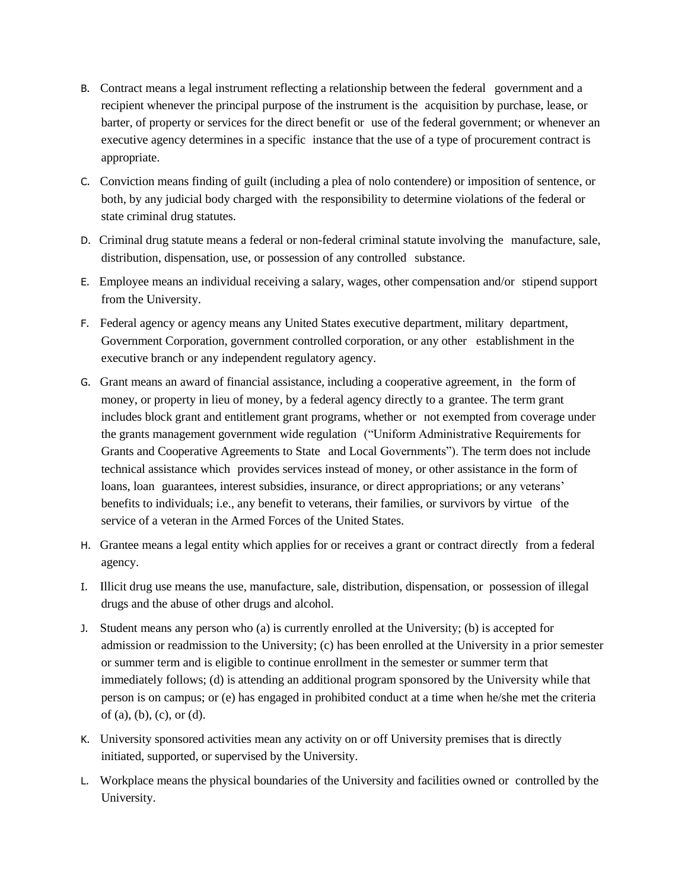- B. Contract means a legal instrument reflecting a relationship between the federal government and a recipient whenever the principal purpose of the instrument is the acquisition by purchase, lease, or barter, of property or services for the direct benefit or use of the federal government; or whenever an executive agency determines in a specific instance that the use of a type of procurement contract is appropriate.
- C. Conviction means finding of guilt (including a plea of nolo contendere) or imposition of sentence, or both, by any judicial body charged with the responsibility to determine violations of the federal or state criminal drug statutes.
- D. Criminal drug statute means a federal or non-federal criminal statute involving the manufacture, sale, distribution, dispensation, use, or possession of any controlled substance.
- E. Employee means an individual receiving a salary, wages, other compensation and/or stipend support from the University.
- F. Federal agency or agency means any United States executive department, military department, Government Corporation, government controlled corporation, or any other establishment in the executive branch or any independent regulatory agency.
- G. Grant means an award of financial assistance, including a cooperative agreement, in the form of money, or property in lieu of money, by a federal agency directly to a grantee. The term grant includes block grant and entitlement grant programs, whether or not exempted from coverage under the grants management government wide regulation ("Uniform Administrative Requirements for Grants and Cooperative Agreements to State and Local Governments"). The term does not include technical assistance which provides services instead of money, or other assistance in the form of loans, loan guarantees, interest subsidies, insurance, or direct appropriations; or any veterans' benefits to individuals; i.e., any benefit to veterans, their families, or survivors by virtue of the service of a veteran in the Armed Forces of the United States.
- H. Grantee means a legal entity which applies for or receives a grant or contract directly from a federal agency.
- I. Illicit drug use means the use, manufacture, sale, distribution, dispensation, or possession of illegal drugs and the abuse of other drugs and alcohol.
- J. Student means any person who (a) is currently enrolled at the University; (b) is accepted for admission or readmission to the University; (c) has been enrolled at the University in a prior semester or summer term and is eligible to continue enrollment in the semester or summer term that immediately follows; (d) is attending an additional program sponsored by the University while that person is on campus; or (e) has engaged in prohibited conduct at a time when he/she met the criteria of (a), (b), (c), or (d).
- K. University sponsored activities mean any activity on or off University premises that is directly initiated, supported, or supervised by the University.
- L. Workplace means the physical boundaries of the University and facilities owned or controlled by the University.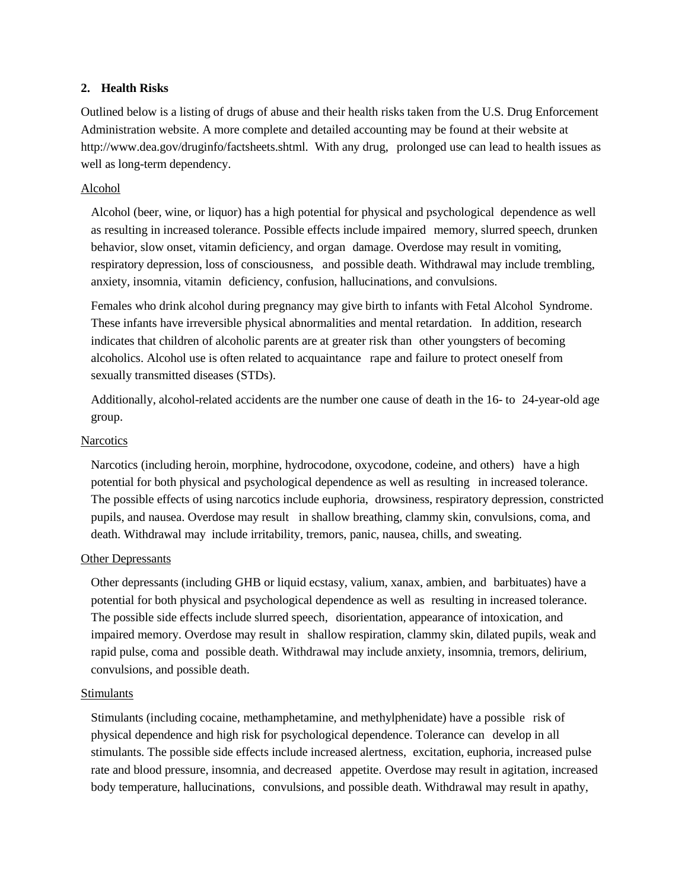### **2. Health Risks**

Outlined below is a listing of drugs of abuse and their health risks taken from the U.S. Drug Enforcement Administration website. A more complete and detailed accounting may be found at their website [at](http://www.dea.gov/druginfo/factsheets.shtml)  [http://www.dea.gov/druginfo/factsheets.shtml.](http://www.dea.gov/druginfo/factsheets.shtml) With any drug, prolonged use can lead to health issues as well as long-term dependency.

### Alcohol

Alcohol (beer, wine, or liquor) has a high potential for physical and psychological dependence as well as resulting in increased tolerance. Possible effects include impaired memory, slurred speech, drunken behavior, slow onset, vitamin deficiency, and organ damage. Overdose may result in vomiting, respiratory depression, loss of consciousness, and possible death. Withdrawal may include trembling, anxiety, insomnia, vitamin deficiency, confusion, hallucinations, and convulsions.

Females who drink alcohol during pregnancy may give birth to infants with Fetal Alcohol Syndrome. These infants have irreversible physical abnormalities and mental retardation. In addition, research indicates that children of alcoholic parents are at greater risk than other youngsters of becoming alcoholics. Alcohol use is often related to acquaintance rape and failure to protect oneself from sexually transmitted diseases (STDs).

Additionally, alcohol-related accidents are the number one cause of death in the 16- to 24-year-old age group.

#### **Narcotics**

Narcotics (including heroin, morphine, hydrocodone, oxycodone, codeine, and others) have a high potential for both physical and psychological dependence as well as resulting in increased tolerance. The possible effects of using narcotics include euphoria, drowsiness, respiratory depression, constricted pupils, and nausea. Overdose may result in shallow breathing, clammy skin, convulsions, coma, and death. Withdrawal may include irritability, tremors, panic, nausea, chills, and sweating.

#### Other Depressants

Other depressants (including GHB or liquid ecstasy, valium, xanax, ambien, and barbituates) have a potential for both physical and psychological dependence as well as resulting in increased tolerance. The possible side effects include slurred speech, disorientation, appearance of intoxication, and impaired memory. Overdose may result in shallow respiration, clammy skin, dilated pupils, weak and rapid pulse, coma and possible death. Withdrawal may include anxiety, insomnia, tremors, delirium, convulsions, and possible death.

### Stimulants

Stimulants (including cocaine, methamphetamine, and methylphenidate) have a possible risk of physical dependence and high risk for psychological dependence. Tolerance can develop in all stimulants. The possible side effects include increased alertness, excitation, euphoria, increased pulse rate and blood pressure, insomnia, and decreased appetite. Overdose may result in agitation, increased body temperature, hallucinations, convulsions, and possible death. Withdrawal may result in apathy,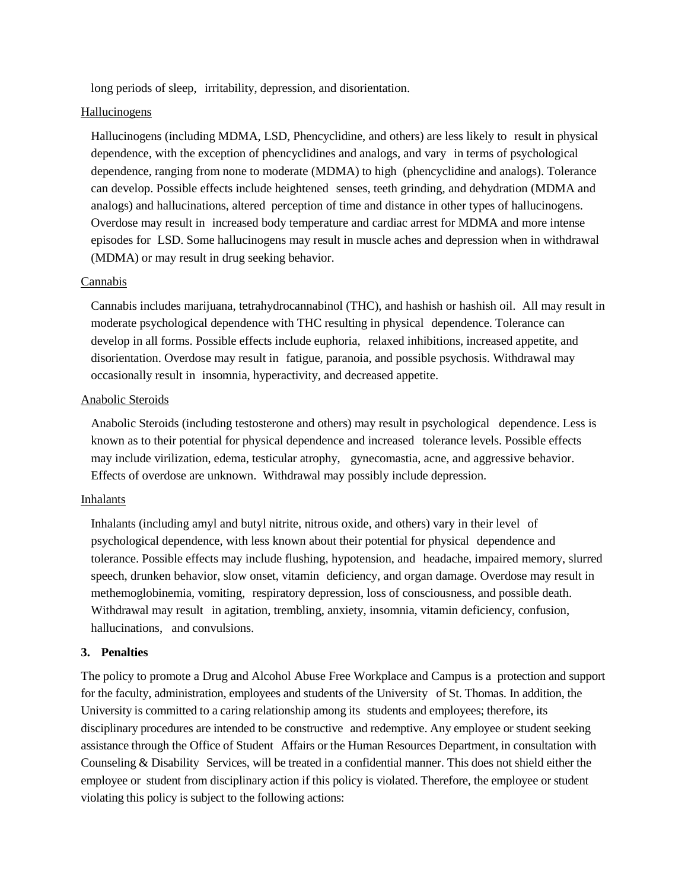long periods of sleep, irritability, depression, and disorientation.

### Hallucinogens

Hallucinogens (including MDMA, LSD, Phencyclidine, and others) are less likely to result in physical dependence, with the exception of phencyclidines and analogs, and vary in terms of psychological dependence, ranging from none to moderate (MDMA) to high (phencyclidine and analogs). Tolerance can develop. Possible effects include heightened senses, teeth grinding, and dehydration (MDMA and analogs) and hallucinations, altered perception of time and distance in other types of hallucinogens. Overdose may result in increased body temperature and cardiac arrest for MDMA and more intense episodes for LSD. Some hallucinogens may result in muscle aches and depression when in withdrawal (MDMA) or may result in drug seeking behavior.

#### Cannabis

Cannabis includes marijuana, tetrahydrocannabinol (THC), and hashish or hashish oil. All may result in moderate psychological dependence with THC resulting in physical dependence. Tolerance can develop in all forms. Possible effects include euphoria, relaxed inhibitions, increased appetite, and disorientation. Overdose may result in fatigue, paranoia, and possible psychosis. Withdrawal may occasionally result in insomnia, hyperactivity, and decreased appetite.

#### Anabolic Steroids

Anabolic Steroids (including testosterone and others) may result in psychological dependence. Less is known as to their potential for physical dependence and increased tolerance levels. Possible effects may include virilization, edema, testicular atrophy, gynecomastia, acne, and aggressive behavior. Effects of overdose are unknown. Withdrawal may possibly include depression.

### **Inhalants**

Inhalants (including amyl and butyl nitrite, nitrous oxide, and others) vary in their level of psychological dependence, with less known about their potential for physical dependence and tolerance. Possible effects may include flushing, hypotension, and headache, impaired memory, slurred speech, drunken behavior, slow onset, vitamin deficiency, and organ damage. Overdose may result in methemoglobinemia, vomiting, respiratory depression, loss of consciousness, and possible death. Withdrawal may result in agitation, trembling, anxiety, insomnia, vitamin deficiency, confusion, hallucinations, and convulsions.

### **3. Penalties**

The policy to promote a Drug and Alcohol Abuse Free Workplace and Campus is a protection and support for the faculty, administration, employees and students of the University of St. Thomas. In addition, the University is committed to a caring relationship among its students and employees; therefore, its disciplinary procedures are intended to be constructive and redemptive. Any employee or student seeking assistance through the Office of Student Affairs or the Human Resources Department, in consultation with Counseling & Disability Services, will be treated in a confidential manner. This does not shield either the employee or student from disciplinary action if this policy is violated. Therefore, the employee or student violating this policy is subject to the following actions: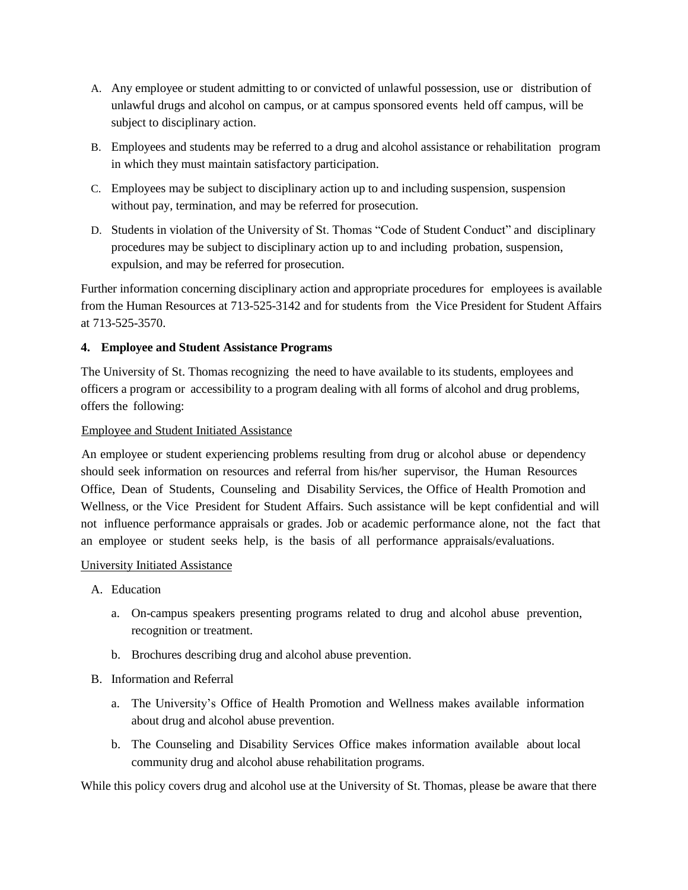- A. Any employee or student admitting to or convicted of unlawful possession, use or distribution of unlawful drugs and alcohol on campus, or at campus sponsored events held off campus, will be subject to disciplinary action.
- B. Employees and students may be referred to a drug and alcohol assistance or rehabilitation program in which they must maintain satisfactory participation.
- C. Employees may be subject to disciplinary action up to and including suspension, suspension without pay, termination, and may be referred for prosecution.
- D. Students in violation of the University of St. Thomas "Code of Student Conduct" and disciplinary procedures may be subject to disciplinary action up to and including probation, suspension, expulsion, and may be referred for prosecution.

Further information concerning disciplinary action and appropriate procedures for employees is available from the Human Resources at 713-525-3142 and for students from the Vice President for Student Affairs at 713-525-3570.

### **4. Employee and Student Assistance Programs**

The University of St. Thomas recognizing the need to have available to its students, employees and officers a program or accessibility to a program dealing with all forms of alcohol and drug problems, offers the following:

### Employee and Student Initiated Assistance

An employee or student experiencing problems resulting from drug or alcohol abuse or dependency should seek information on resources and referral from his/her supervisor, the Human Resources Office, Dean of Students, Counseling and Disability Services, the Office of Health Promotion and Wellness, or the Vice President for Student Affairs. Such assistance will be kept confidential and will not influence performance appraisals or grades. Job or academic performance alone, not the fact that an employee or student seeks help, is the basis of all performance appraisals/evaluations.

### University Initiated Assistance

- A. Education
	- a. On-campus speakers presenting programs related to drug and alcohol abuse prevention, recognition or treatment.
	- b. Brochures describing drug and alcohol abuse prevention.

### B. Information and Referral

- a. The University's Office of Health Promotion and Wellness makes available information about drug and alcohol abuse prevention.
- b. The Counseling and Disability Services Office makes information available about local community drug and alcohol abuse rehabilitation programs.

While this policy covers drug and alcohol use at the University of St. Thomas, please be aware that there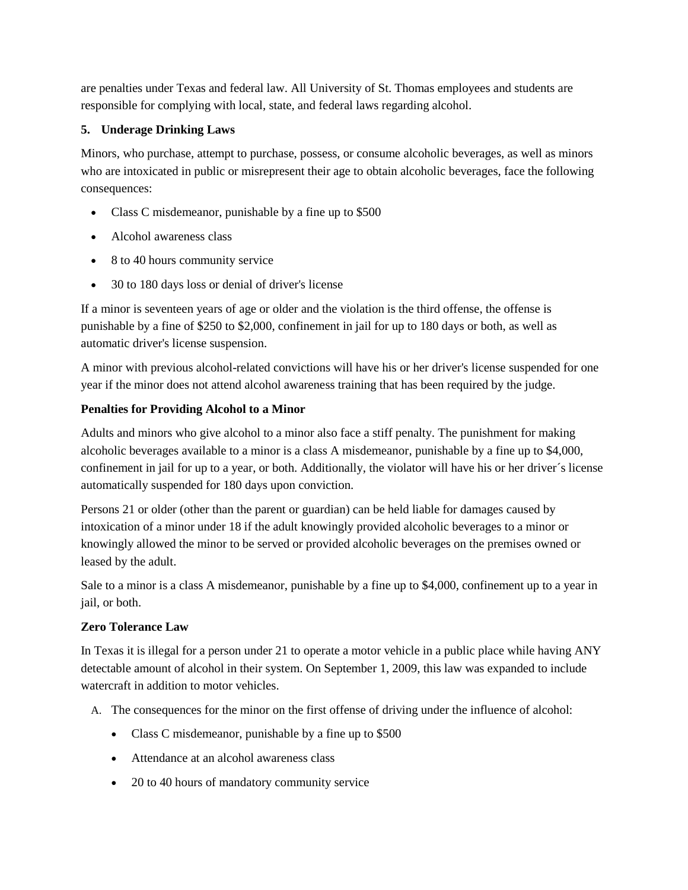are penalties under Texas and federal law. All University of St. Thomas employees and students are responsible for complying with local, state, and federal laws regarding alcohol.

# **5. Underage Drinking Laws**

Minors, who purchase, attempt to purchase, possess, or consume alcoholic beverages, as well as minors who are intoxicated in public or misrepresent their age to obtain alcoholic beverages, face the following consequences:

- Class C misdemeanor, punishable by a fine up to \$500
- Alcohol awareness class
- 8 to 40 hours community service
- 30 to 180 days loss or denial of driver's license

If a minor is seventeen years of age or older and the violation is the third offense, the offense is punishable by a fine of \$250 to \$2,000, confinement in jail for up to 180 days or both, as well as automatic driver's license suspension.

A minor with previous alcohol-related convictions will have his or her driver's license suspended for one year if the minor does not attend alcohol awareness training that has been required by the judge.

# **Penalties for Providing Alcohol to a Minor**

Adults and minors who give alcohol to a minor also face a stiff penalty. The punishment for making alcoholic beverages available to a minor is a class A misdemeanor, punishable by a fine up to \$4,000, confinement in jail for up to a year, or both. Additionally, the violator will have his or her driver´s license automatically suspended for 180 days upon conviction.

Persons 21 or older (other than the parent or guardian) can be held liable for damages caused by intoxication of a minor under 18 if the adult knowingly provided alcoholic beverages to a minor or knowingly allowed the minor to be served or provided alcoholic beverages on the premises owned or leased by the adult.

Sale to a minor is a class A misdemeanor, punishable by a fine up to \$4,000, confinement up to a year in jail, or both.

# **Zero Tolerance Law**

In Texas it is illegal for a person under 21 to operate a motor vehicle in a public place while having ANY detectable amount of alcohol in their system. On September 1, 2009, this law was expanded to include watercraft in addition to motor vehicles.

- A. The consequences for the minor on the first offense of driving under the influence of alcohol:
	- Class C misdemeanor, punishable by a fine up to \$500
	- Attendance at an alcohol awareness class
	- 20 to 40 hours of mandatory community service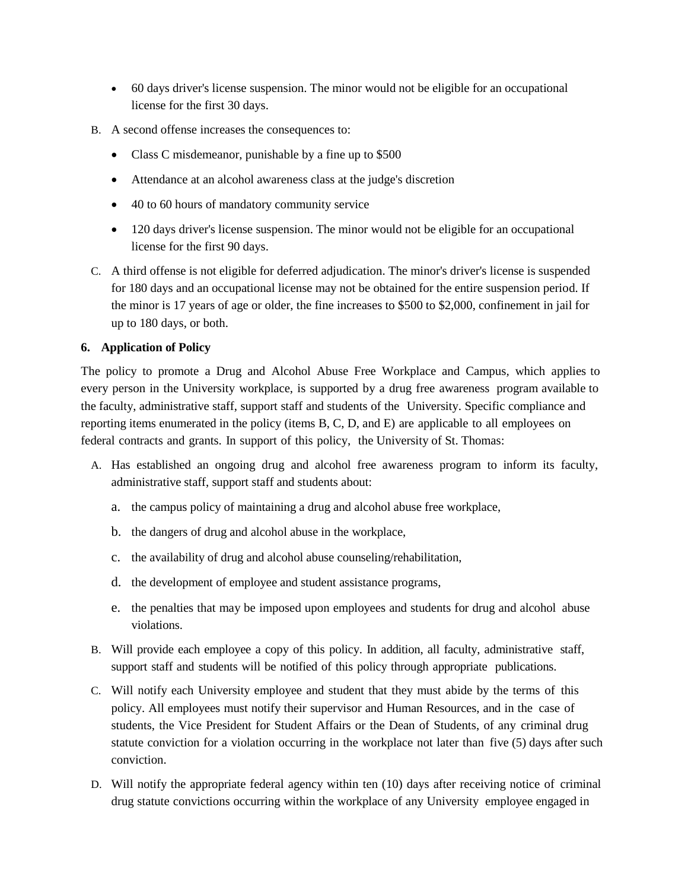- 60 days driver's license suspension. The minor would not be eligible for an occupational license for the first 30 days.
- B. A second offense increases the consequences to:
	- Class C misdemeanor, punishable by a fine up to \$500
	- Attendance at an alcohol awareness class at the judge's discretion
	- 40 to 60 hours of mandatory community service
	- 120 days driver's license suspension. The minor would not be eligible for an occupational license for the first 90 days.
- C. A third offense is not eligible for deferred adjudication. The minor's driver's license is suspended for 180 days and an occupational license may not be obtained for the entire suspension period. If the minor is 17 years of age or older, the fine increases to \$500 to \$2,000, confinement in jail for up to 180 days, or both.

### **6. Application of Policy**

The policy to promote a Drug and Alcohol Abuse Free Workplace and Campus*,* which applies to every person in the University workplace, is supported by a drug free awareness program available to the faculty, administrative staff, support staff and students of the University. Specific compliance and reporting items enumerated in the policy (items B, C, D, and E) are applicable to all employees on federal contracts and grants. In support of this policy, the University of St. Thomas:

- A. Has established an ongoing drug and alcohol free awareness program to inform its faculty, administrative staff, support staff and students about:
	- a. the campus policy of maintaining a drug and alcohol abuse free workplace,
	- b. the dangers of drug and alcohol abuse in the workplace,
	- c. the availability of drug and alcohol abuse counseling/rehabilitation,
	- d. the development of employee and student assistance programs,
	- e. the penalties that may be imposed upon employees and students for drug and alcohol abuse violations.
- B. Will provide each employee a copy of this policy. In addition, all faculty, administrative staff, support staff and students will be notified of this policy through appropriate publications.
- C. Will notify each University employee and student that they must abide by the terms of this policy. All employees must notify their supervisor and Human Resources, and in the case of students, the Vice President for Student Affairs or the Dean of Students, of any criminal drug statute conviction for a violation occurring in the workplace not later than five (5) days after such conviction.
- D. Will notify the appropriate federal agency within ten (10) days after receiving notice of criminal drug statute convictions occurring within the workplace of any University employee engaged in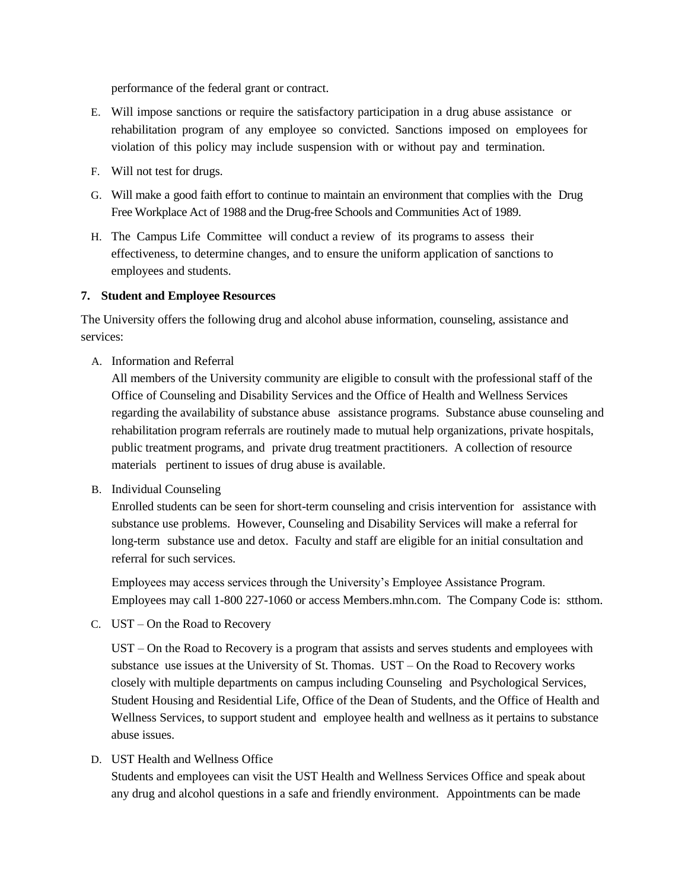performance of the federal grant or contract.

- E. Will impose sanctions or require the satisfactory participation in a drug abuse assistance or rehabilitation program of any employee so convicted. Sanctions imposed on employees for violation of this policy may include suspension with or without pay and termination.
- F. Will not test for drugs.
- G. Will make a good faith effort to continue to maintain an environment that complies with the Drug Free Workplace Act of 1988 and the Drug-free Schools and Communities Act of 1989.
- H. The Campus Life Committee will conduct a review of its programs to assess their effectiveness, to determine changes, and to ensure the uniform application of sanctions to employees and students.

### **7. Student and Employee Resources**

The University offers the following drug and alcohol abuse information, counseling, assistance and services:

A. Information and Referral

All members of the University community are eligible to consult with the professional staff of the Office of Counseling and Disability Services and the Office of Health and Wellness Services regarding the availability of substance abuse assistance programs. Substance abuse counseling and rehabilitation program referrals are routinely made to mutual help organizations, private hospitals, public treatment programs, and private drug treatment practitioners. A collection of resource materials pertinent to issues of drug abuse is available.

B. Individual Counseling

Enrolled students can be seen for short-term counseling and crisis intervention for assistance with substance use problems. However, Counseling and Disability Services will make a referral for long-term substance use and detox. Faculty and staff are eligible for an initial consultation and referral for such services.

Employees may access services through the University's Employee Assistance Program. Employees may call 1-800 227-1060 or access Members.mhn.com. The Company Code is: stthom.

C. UST – On the Road to Recovery

UST – On the Road to Recovery is a program that assists and serves students and employees with substance use issues at the University of St. Thomas. UST – On the Road to Recovery works closely with multiple departments on campus including Counseling and Psychological Services, Student Housing and Residential Life, Office of the Dean of Students, and the Office of Health and Wellness Services, to support student and employee health and wellness as it pertains to substance abuse issues.

D. UST Health and Wellness Office

Students and employees can visit the UST Health and Wellness Services Office and speak about any drug and alcohol questions in a safe and friendly environment. Appointments can be made